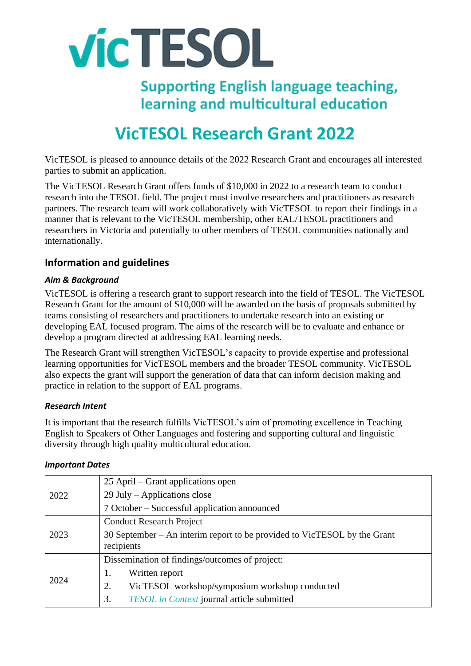

**Supporting English language teaching,** learning and multicultural education

# **VicTESOL Research Grant 2022**

VicTESOL is pleased to announce details of the 2022 Research Grant and encourages all interested parties to submit an application.

The VicTESOL Research Grant offers funds of \$10,000 in 2022 to a research team to conduct research into the TESOL field. The project must involve researchers and practitioners as research partners. The research team will work collaboratively with VicTESOL to report their findings in a manner that is relevant to the VicTESOL membership, other EAL/TESOL practitioners and researchers in Victoria and potentially to other members of TESOL communities nationally and internationally.

# **Information and guidelines**

#### *Aim & Background*

VicTESOL is offering a research grant to support research into the field of TESOL. The VicTESOL Research Grant for the amount of \$10,000 will be awarded on the basis of proposals submitted by teams consisting of researchers and practitioners to undertake research into an existing or developing EAL focused program. The aims of the research will be to evaluate and enhance or develop a program directed at addressing EAL learning needs.

The Research Grant will strengthen VicTESOL's capacity to provide expertise and professional learning opportunities for VicTESOL members and the broader TESOL community. VicTESOL also expects the grant will support the generation of data that can inform decision making and practice in relation to the support of EAL programs.

#### *Research Intent*

It is important that the research fulfills VicTESOL's aim of promoting excellence in Teaching English to Speakers of Other Languages and fostering and supporting cultural and linguistic diversity through high quality multicultural education.

| <b>Important Dates</b> |  |
|------------------------|--|
|------------------------|--|

| 2022 | 25 April – Grant applications open                                                     |
|------|----------------------------------------------------------------------------------------|
|      | 29 July – Applications close                                                           |
|      | 7 October – Successful application announced                                           |
| 2023 | <b>Conduct Research Project</b>                                                        |
|      | 30 September – An interim report to be provided to VicTESOL by the Grant<br>recipients |
| 2024 | Dissemination of findings/outcomes of project:                                         |
|      | Written report<br>1.                                                                   |
|      | VicTESOL workshop/symposium workshop conducted<br>2.                                   |
|      | TESOL in Context journal article submitted<br>3.                                       |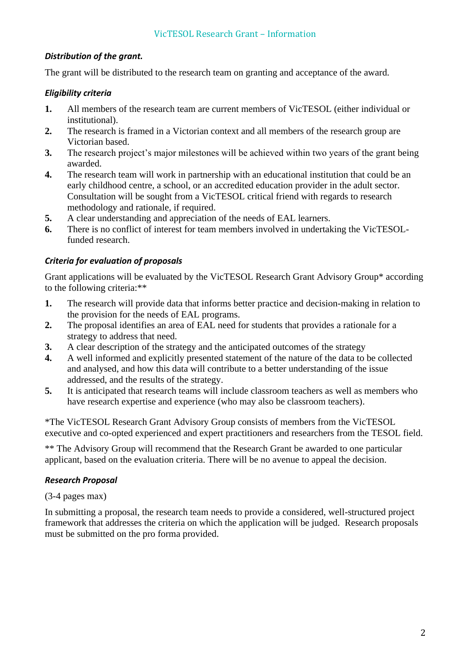# *Distribution of the grant.*

The grant will be distributed to the research team on granting and acceptance of the award.

# *Eligibility criteria*

- **1.** All members of the research team are current members of VicTESOL (either individual or institutional).
- **2.** The research is framed in a Victorian context and all members of the research group are Victorian based.
- **3.** The research project's major milestones will be achieved within two years of the grant being awarded.
- **4.** The research team will work in partnership with an educational institution that could be an early childhood centre, a school, or an accredited education provider in the adult sector. Consultation will be sought from a VicTESOL critical friend with regards to research methodology and rationale, if required.
- **5.** A clear understanding and appreciation of the needs of EAL learners.
- **6.** There is no conflict of interest for team members involved in undertaking the VicTESOLfunded research.

# *Criteria for evaluation of proposals*

Grant applications will be evaluated by the VicTESOL Research Grant Advisory Group\* according to the following criteria:\*\*

- **1.** The research will provide data that informs better practice and decision-making in relation to the provision for the needs of EAL programs.
- **2.** The proposal identifies an area of EAL need for students that provides a rationale for a strategy to address that need.
- **3.** A clear description of the strategy and the anticipated outcomes of the strategy
- **4.** A well informed and explicitly presented statement of the nature of the data to be collected and analysed, and how this data will contribute to a better understanding of the issue addressed, and the results of the strategy.
- **5.** It is anticipated that research teams will include classroom teachers as well as members who have research expertise and experience (who may also be classroom teachers).

\*The VicTESOL Research Grant Advisory Group consists of members from the VicTESOL executive and co-opted experienced and expert practitioners and researchers from the TESOL field.

\*\* The Advisory Group will recommend that the Research Grant be awarded to one particular applicant, based on the evaluation criteria. There will be no avenue to appeal the decision.

#### *Research Proposal*

(3-4 pages max)

In submitting a proposal, the research team needs to provide a considered, well-structured project framework that addresses the criteria on which the application will be judged. Research proposals must be submitted on the pro forma provided.